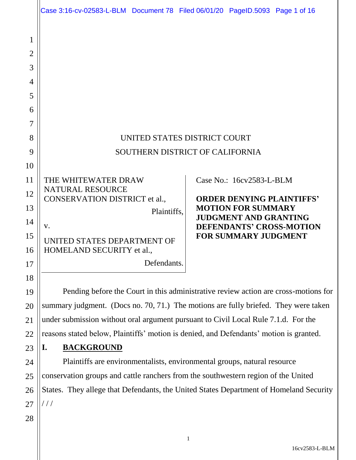|                                              | Case 3:16-cv-02583-L-BLM Document 78 Filed 06/01/20 PageID.5093 Page 1 of 16           |                                                           |  |
|----------------------------------------------|----------------------------------------------------------------------------------------|-----------------------------------------------------------|--|
| 1<br>2<br>3<br>$\overline{4}$<br>5<br>6<br>7 |                                                                                        |                                                           |  |
| 8                                            | UNITED STATES DISTRICT COURT                                                           |                                                           |  |
| 9                                            | SOUTHERN DISTRICT OF CALIFORNIA                                                        |                                                           |  |
| 10                                           |                                                                                        |                                                           |  |
| 11                                           | THE WHITEWATER DRAW                                                                    | Case No.: 16cv2583-L-BLM                                  |  |
| 12                                           | <b>NATURAL RESOURCE</b><br>CONSERVATION DISTRICT et al.,                               | <b>ORDER DENYING PLAINTIFFS'</b>                          |  |
| 13                                           | Plaintiffs.                                                                            | <b>MOTION FOR SUMMARY</b><br><b>JUDGMENT AND GRANTING</b> |  |
| 14                                           | V.                                                                                     | <b>DEFENDANTS' CROSS-MOTION</b>                           |  |
| 15<br>16                                     | UNITED STATES DEPARTMENT OF<br>HOMELAND SECURITY et al.,                               | <b>FOR SUMMARY JUDGMENT</b>                               |  |
| 17                                           | Defendants.                                                                            |                                                           |  |
| 18                                           |                                                                                        |                                                           |  |
| 19                                           | Pending before the Court in this administrative review action are cross-motions for    |                                                           |  |
| 20                                           | summary judgment. (Docs no. 70, 71.) The motions are fully briefed. They were taken    |                                                           |  |
| 21                                           | under submission without oral argument pursuant to Civil Local Rule 7.1.d. For the     |                                                           |  |
| 22                                           | reasons stated below, Plaintiffs' motion is denied, and Defendants' motion is granted. |                                                           |  |
| 23                                           | <b>BACKGROUND</b><br>I.                                                                |                                                           |  |
| 24                                           | Plaintiffs are environmentalists, environmental groups, natural resource               |                                                           |  |
| 25                                           | conservation groups and cattle ranchers from the southwestern region of the United     |                                                           |  |
| 26                                           | States. They allege that Defendants, the United States Department of Homeland Security |                                                           |  |
| 27                                           | ///                                                                                    |                                                           |  |
| 28                                           |                                                                                        |                                                           |  |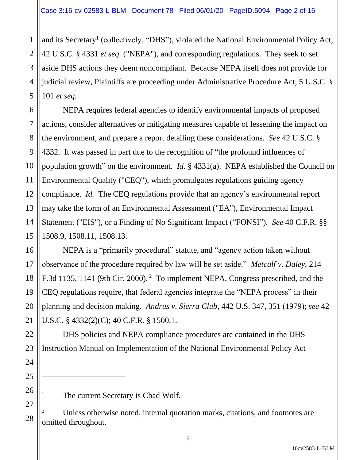1

2

3

4

5

6

7

8

9

10

11

12

13

14

15

16

17

18

19

20

21

22

23

24

25

 $\ddot{\phantom{a}}$ 

26

27

28

and its Secretary<sup>1</sup> (collectively, "DHS"), violated the National Environmental Policy Act, 42 U.S.C. § 4331 *et seq.* ("NEPA"), and corresponding regulations. They seek to set aside DHS actions they deem noncompliant. Because NEPA itself does not provide for judicial review, Plaintiffs are proceeding under Administrative Procedure Act, 5 U.S.C. § 101 *et seq.*

NEPA requires federal agencies to identify environmental impacts of proposed actions, consider alternatives or mitigating measures capable of lessening the impact on the environment, and prepare a report detailing these considerations. *See* 42 U.S.C. § 4332. It was passed in part due to the recognition of "the profound influences of population growth" on the environment. *Id.* § 4331(a). NEPA established the Council on Environmental Quality ("CEQ"), which promulgates regulations guiding agency compliance. *Id.* The CEQ regulations provide that an agency's environmental report may take the form of an Environmental Assessment ("EA"), Environmental Impact Statement ("EIS"), or a Finding of No Significant Impact ("FONSI"). *See* 40 C.F.R. §§ 1508.9, 1508.11, 1508.13.

NEPA is a "primarily procedural" statute, and "agency action taken without observance of the procedure required by law will be set aside." *Metcalf v. Daley,* 214 F.3d 1135, 1141 (9th Cir. 2000).<sup>2</sup> To implement NEPA, Congress prescribed, and the CEQ regulations require, that federal agencies integrate the "NEPA process" in their planning and decision making. *Andrus v. Sierra Club*, 442 U.S. 347, 351 (1979); *see* 42 U.S.C. § 4332(2)(C); 40 C.F.R. § 1500.1.

DHS policies and NEPA compliance procedures are contained in the DHS Instruction Manual on Implementation of the National Environmental Policy Act

The current Secretary is Chad Wolf.

<sup>2</sup> Unless otherwise noted, internal quotation marks, citations, and footnotes are omitted throughout.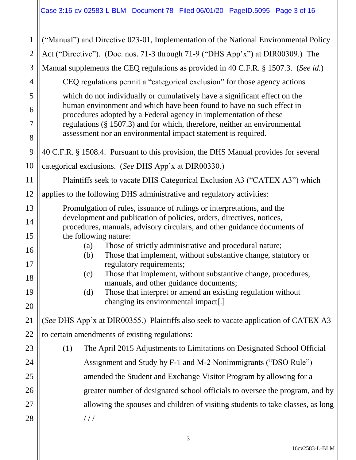| $\mathbf{1}$   | ("Manual") and Directive 023-01, Implementation of the National Environmental Policy                                                                                                                                       |  |  |
|----------------|----------------------------------------------------------------------------------------------------------------------------------------------------------------------------------------------------------------------------|--|--|
| $\overline{2}$ | Act ("Directive"). (Doc. nos. 71-3 through 71-9 ("DHS App'x") at DIR00309.) The                                                                                                                                            |  |  |
| 3              | Manual supplements the CEQ regulations as provided in 40 C.F.R. § 1507.3. (See id.)                                                                                                                                        |  |  |
| 4              | CEQ regulations permit a "categorical exclusion" for those agency actions                                                                                                                                                  |  |  |
| 5              | which do not individually or cumulatively have a significant effect on the                                                                                                                                                 |  |  |
| 6              | human environment and which have been found to have no such effect in<br>procedures adopted by a Federal agency in implementation of these<br>regulations $(\S 1507.3)$ and for which, therefore, neither an environmental |  |  |
| 7              |                                                                                                                                                                                                                            |  |  |
| 8              | assessment nor an environmental impact statement is required.                                                                                                                                                              |  |  |
| 9              | 40 C.F.R. § 1508.4. Pursuant to this provision, the DHS Manual provides for several                                                                                                                                        |  |  |
| 10             | categorical exclusions. (See DHS App'x at DIR00330.)                                                                                                                                                                       |  |  |
| 11             | Plaintiffs seek to vacate DHS Categorical Exclusion A3 ("CATEX A3") which                                                                                                                                                  |  |  |
| 12             | applies to the following DHS administrative and regulatory activities:                                                                                                                                                     |  |  |
| 13             | Promulgation of rules, issuance of rulings or interpretations, and the                                                                                                                                                     |  |  |
| 14             | development and publication of policies, orders, directives, notices,<br>procedures, manuals, advisory circulars, and other guidance documents of                                                                          |  |  |
| 15             | the following nature:                                                                                                                                                                                                      |  |  |
| 16             | Those of strictly administrative and procedural nature;<br>(a)<br>Those that implement, without substantive change, statutory or<br>(b)                                                                                    |  |  |
| 17             | regulatory requirements;<br>Those that implement, without substantive change, procedures,                                                                                                                                  |  |  |
| 18             | (c)<br>manuals, and other guidance documents;                                                                                                                                                                              |  |  |
| 19             | Those that interpret or amend an existing regulation without<br>(d)<br>changing its environmental impact[.]                                                                                                                |  |  |
| 20             |                                                                                                                                                                                                                            |  |  |
| 21             | (See DHS App'x at DIR00355.) Plaintiffs also seek to vacate application of CATEX A3                                                                                                                                        |  |  |
| 22             | to certain amendments of existing regulations:                                                                                                                                                                             |  |  |
| 23             | The April 2015 Adjustments to Limitations on Designated School Official<br>(1)                                                                                                                                             |  |  |
| 24             | Assignment and Study by F-1 and M-2 Nonimmigrants ("DSO Rule")                                                                                                                                                             |  |  |
| 25             | amended the Student and Exchange Visitor Program by allowing for a                                                                                                                                                         |  |  |
| 26             | greater number of designated school officials to oversee the program, and by                                                                                                                                               |  |  |
| 27             | allowing the spouses and children of visiting students to take classes, as long                                                                                                                                            |  |  |
| 28             | //                                                                                                                                                                                                                         |  |  |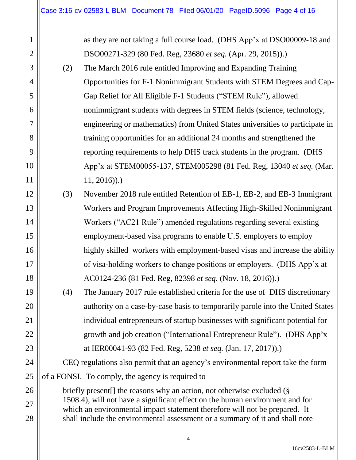| 1              |                                                                                                                                                            | as they are not taking a full course load. (DHS App'x at DSO00009-18 and        |
|----------------|------------------------------------------------------------------------------------------------------------------------------------------------------------|---------------------------------------------------------------------------------|
| $\overline{2}$ |                                                                                                                                                            | DSO00271-329 (80 Fed. Reg, 23680 et seq. (Apr. 29, 2015)).                      |
| 3              | (2)                                                                                                                                                        | The March 2016 rule entitled Improving and Expanding Training                   |
| $\overline{4}$ |                                                                                                                                                            | Opportunities for F-1 Nonimmigrant Students with STEM Degrees and Cap-          |
| 5              |                                                                                                                                                            | Gap Relief for All Eligible F-1 Students ("STEM Rule"), allowed                 |
| 6              |                                                                                                                                                            | nonimmigrant students with degrees in STEM fields (science, technology,         |
| $\overline{7}$ |                                                                                                                                                            | engineering or mathematics) from United States universities to participate in   |
| 8              |                                                                                                                                                            | training opportunities for an additional 24 months and strengthened the         |
| 9              |                                                                                                                                                            | reporting requirements to help DHS track students in the program. (DHS          |
| 10             |                                                                                                                                                            | App'x at STEM00055-137, STEM005298 (81 Fed. Reg, 13040 et seq. (Mar.            |
| 11             |                                                                                                                                                            | $11, 2016)$ ).)                                                                 |
| 12             | (3)                                                                                                                                                        | November 2018 rule entitled Retention of EB-1, EB-2, and EB-3 Immigrant         |
| 13             |                                                                                                                                                            | Workers and Program Improvements Affecting High-Skilled Nonimmigrant            |
| 14             |                                                                                                                                                            | Workers ("AC21 Rule") amended regulations regarding several existing            |
| 15             |                                                                                                                                                            | employment-based visa programs to enable U.S. employers to employ               |
| 16             |                                                                                                                                                            | highly skilled workers with employment-based visas and increase the ability     |
| 17             |                                                                                                                                                            | of visa-holding workers to change positions or employers. (DHS App'x at         |
| 18             |                                                                                                                                                            | AC0124-236 (81 Fed. Reg, 82398 et seq. (Nov. 18, 2016)).                        |
| 19             | (4)                                                                                                                                                        | The January 2017 rule established criteria for the use of DHS discretionary     |
| 20             |                                                                                                                                                            | authority on a case-by-case basis to temporarily parole into the United States  |
| 21             |                                                                                                                                                            | individual entrepreneurs of startup businesses with significant potential for   |
| 22             |                                                                                                                                                            | growth and job creation ("International Entrepreneur Rule"). (DHS App'x         |
| 23             |                                                                                                                                                            | at IER00041-93 (82 Fed. Reg, 5238 et seq. (Jan. 17, 2017)).                     |
| 24             |                                                                                                                                                            | CEQ regulations also permit that an agency's environmental report take the form |
| 25             |                                                                                                                                                            | of a FONSI. To comply, the agency is required to                                |
| 26             |                                                                                                                                                            | briefly present [] the reasons why an action, not otherwise excluded (§         |
| 27             | 1508.4), will not have a significant effect on the human environment and for<br>which an environmental impact statement therefore will not be prepared. It |                                                                                 |
| 28             |                                                                                                                                                            | shall include the environmental assessment or a summary of it and shall note    |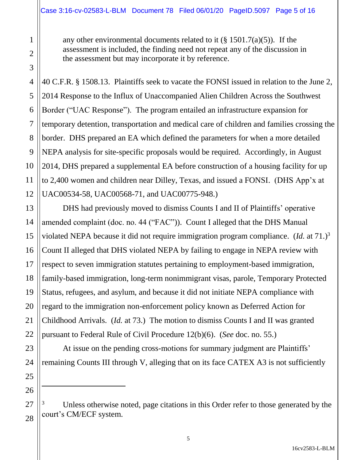any other environmental documents related to it  $(\S 1501.7(a)(5))$ . If the assessment is included, the finding need not repeat any of the discussion in the assessment but may incorporate it by reference.

40 C.F.R. § 1508.13. Plaintiffs seek to vacate the FONSI issued in relation to the June 2, 2014 Response to the Influx of Unaccompanied Alien Children Across the Southwest Border ("UAC Response"). The program entailed an infrastructure expansion for temporary detention, transportation and medical care of children and families crossing the border. DHS prepared an EA which defined the parameters for when a more detailed NEPA analysis for site-specific proposals would be required. Accordingly, in August 2014, DHS prepared a supplemental EA before construction of a housing facility for up to 2,400 women and children near Dilley, Texas, and issued a FONSI. (DHS App'x at UAC00534-58, UAC00568-71, and UAC00775-948.)

DHS had previously moved to dismiss Counts I and II of Plaintiffs' operative amended complaint (doc. no. 44 ("FAC")). Count I alleged that the DHS Manual violated NEPA because it did not require immigration program compliance. (*Id.* at 71.)<sup>3</sup> Count II alleged that DHS violated NEPA by failing to engage in NEPA review with respect to seven immigration statutes pertaining to employment-based immigration, family-based immigration, long-term nonimmigrant visas, parole, Temporary Protected Status, refugees, and asylum, and because it did not initiate NEPA compliance with regard to the immigration non-enforcement policy known as Deferred Action for Childhood Arrivals. (*Id.* at 73.) The motion to dismiss Counts I and II was granted pursuant to Federal Rule of Civil Procedure 12(b)(6). (*See* doc. no. 55.)

At issue on the pending cross-motions for summary judgment are Plaintiffs' remaining Counts III through V, alleging that on its face CATEX A3 is not sufficiently

Unless otherwise noted, page citations in this Order refer to those generated by the court's CM/ECF system.

 $\ddot{\phantom{a}}$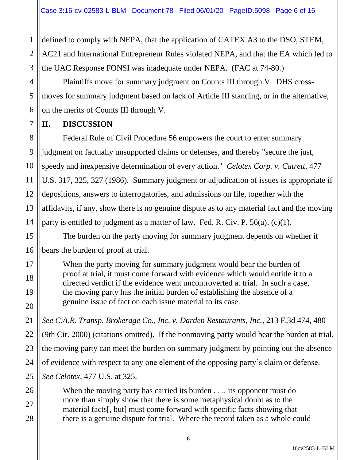defined to comply with NEPA, that the application of CATEX A3 to the DSO, STEM,

2 AC21 and International Entrepreneur Rules violated NEPA, and that the EA which led to the UAC Response FONSI was inadequate under NEPA. (FAC at 74-80.)

Plaintiffs move for summary judgment on Counts III through V. DHS crossmoves for summary judgment based on lack of Article III standing, or in the alternative, on the merits of Counts III through V.

## **II. DISCUSSION**

Federal Rule of Civil Procedure 56 empowers the court to enter summary judgment on factually unsupported claims or defenses, and thereby "secure the just, speedy and inexpensive determination of every action." *Celotex Corp. v. Catrett*, 477 U.S. 317, 325, 327 (1986). Summary judgment or adjudication of issues is appropriate if depositions, answers to interrogatories, and admissions on file, together with the affidavits, if any, show there is no genuine dispute as to any material fact and the moving party is entitled to judgment as a matter of law. Fed. R. Civ. P. 56(a), (c)(1).

The burden on the party moving for summary judgment depends on whether it bears the burden of proof at trial.

When the party moving for summary judgment would bear the burden of proof at trial, it must come forward with evidence which would entitle it to a directed verdict if the evidence went uncontroverted at trial. In such a case, the moving party has the initial burden of establishing the absence of a genuine issue of fact on each issue material to its case.

*See C.A.R. Transp. Brokerage Co., Inc. v. Darden Restaurants, Inc.*, 213 F.3d 474, 480 (9th Cir. 2000) (citations omitted). If the nonmoving party would bear the burden at trial, the moving party can meet the burden on summary judgment by pointing out the absence of evidence with respect to any one element of the opposing party's claim or defense. *See Celotex*, 477 U.S. at 325.

When the moving party has carried its burden . . ., its opponent must do more than simply show that there is some metaphysical doubt as to the material facts[, but] must come forward with specific facts showing that there is a genuine dispute for trial. Where the record taken as a whole could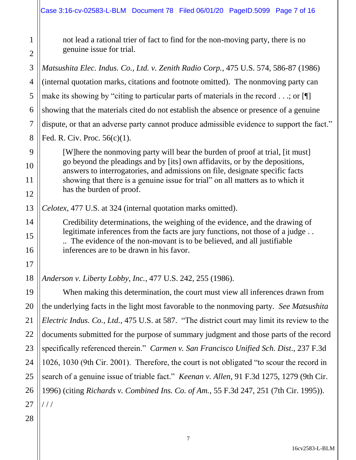not lead a rational trier of fact to find for the non-moving party, there is no genuine issue for trial.

*Matsushita Elec. Indus. Co., Ltd. v. Zenith Radio Corp.*, 475 U.S. 574, 586-87 (1986) (internal quotation marks, citations and footnote omitted). The nonmoving party can make its showing by "citing to particular parts of materials in the record  $\dots$ ; or  $\P$ showing that the materials cited do not establish the absence or presence of a genuine dispute, or that an adverse party cannot produce admissible evidence to support the fact." Fed. R. Civ. Proc. 56(c)(1).

[W]here the nonmoving party will bear the burden of proof at trial, [it must] go beyond the pleadings and by [its] own affidavits, or by the depositions, answers to interrogatories, and admissions on file, designate specific facts showing that there is a genuine issue for trial" on all matters as to which it has the burden of proof.

*Celotex*, 477 U.S. at 324 (internal quotation marks omitted).

Credibility determinations, the weighing of the evidence, and the drawing of legitimate inferences from the facts are jury functions, not those of a judge... .. The evidence of the non-movant is to be believed, and all justifiable inferences are to be drawn in his favor.

*Anderson v. Liberty Lobby, Inc.*, 477 U.S. 242, 255 (1986).

When making this determination, the court must view all inferences drawn from the underlying facts in the light most favorable to the nonmoving party. *See Matsushita Electric Indus. Co., Ltd.*, 475 U.S. at 587. "The district court may limit its review to the documents submitted for the purpose of summary judgment and those parts of the record specifically referenced therein." *Carmen v. San Francisco Unified Sch. Dist.*, 237 F.3d 1026, 1030 (9th Cir. 2001). Therefore, the court is not obligated "to scour the record in search of a genuine issue of triable fact." *Keenan v. Allen*, 91 F.3d 1275, 1279 (9th Cir. 1996) (citing *Richards v. Combined Ins. Co. of Am.*, 55 F.3d 247, 251 (7th Cir. 1995)).  $1/1$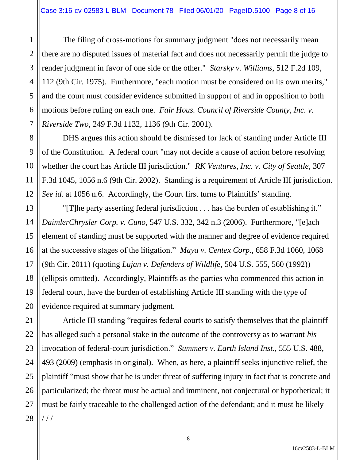The filing of cross-motions for summary judgment "does not necessarily mean there are no disputed issues of material fact and does not necessarily permit the judge to render judgment in favor of one side or the other." *Starsky v. Williams*, 512 F.2d 109, 112 (9th Cir. 1975). Furthermore, "each motion must be considered on its own merits," and the court must consider evidence submitted in support of and in opposition to both motions before ruling on each one. *Fair Hous. Council of Riverside County, Inc. v. Riverside Two*, 249 F.3d 1132, 1136 (9th Cir. 2001).

DHS argues this action should be dismissed for lack of standing under Article III of the Constitution. A federal court "may not decide a cause of action before resolving whether the court has Article III jurisdiction." *RK Ventures, Inc. v. City of Seattle*, 307 F.3d 1045, 1056 n.6 (9th Cir. 2002). Standing is a requirement of Article III jurisdiction. *See id.* at 1056 n.6. Accordingly, the Court first turns to Plaintiffs' standing.

"[T]he party asserting federal jurisdiction . . . has the burden of establishing it." *DaimlerChrysler Corp. v. Cuno*, 547 U.S. 332, 342 n.3 (2006). Furthermore, "[e]ach element of standing must be supported with the manner and degree of evidence required at the successive stages of the litigation." *Maya v. Centex Corp.,* 658 F.3d 1060, 1068 (9th Cir. 2011) (quoting *Lujan v. Defenders of Wildlife,* 504 U.S. 555, 560 (1992)) (ellipsis omitted). Accordingly, Plaintiffs as the parties who commenced this action in federal court, have the burden of establishing Article III standing with the type of evidence required at summary judgment.

Article III standing "requires federal courts to satisfy themselves that the plaintiff has alleged such a personal stake in the outcome of the controversy as to warrant *his* invocation of federal-court jurisdiction." *Summers v. Earth Island Inst.*, 555 U.S. 488, 493 (2009) (emphasis in original). When, as here, a plaintiff seeks injunctive relief, the plaintiff "must show that he is under threat of suffering injury in fact that is concrete and particularized; the threat must be actual and imminent, not conjectural or hypothetical; it must be fairly traceable to the challenged action of the defendant; and it must be likely / / /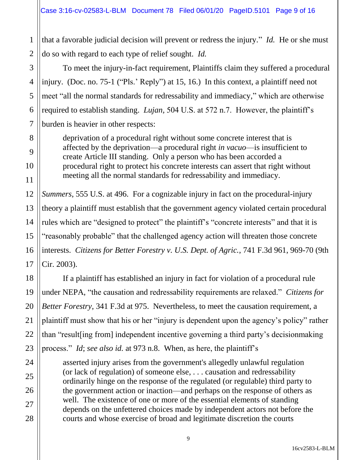that a favorable judicial decision will prevent or redress the injury." *Id.* He or she must do so with regard to each type of relief sought. *Id.*

To meet the injury-in-fact requirement, Plaintiffs claim they suffered a procedural injury. (Doc. no. 75-1 ("Pls.' Reply") at 15, 16.) In this context, a plaintiff need not meet "all the normal standards for redressability and immediacy," which are otherwise required to establish standing. *Lujan,* 504 U.S. at 572 n.7. However, the plaintiff's burden is heavier in other respects:

deprivation of a procedural right without some concrete interest that is affected by the deprivation—a procedural right *in vacuo*—is insufficient to create Article III standing. Only a person who has been accorded a procedural right to protect his concrete interests can assert that right without meeting all the normal standards for redressability and immediacy.

*Summers*, 555 U.S. at 496. For a cognizable injury in fact on the procedural-injury theory a plaintiff must establish that the government agency violated certain procedural rules which are "designed to protect" the plaintiff's "concrete interests" and that it is "reasonably probable" that the challenged agency action will threaten those concrete interests. *Citizens for Better Forestry v. U.S. Dept. of Agric.*, 741 F.3d 961, 969-70 (9th Cir. 2003).

If a plaintiff has established an injury in fact for violation of a procedural rule under NEPA, "the causation and redressability requirements are relaxed." *Citizens for Better Forestry*, 341 F.3d at 975. Nevertheless, to meet the causation requirement, a plaintiff must show that his or her "injury is dependent upon the agency's policy" rather than "result[ing from] independent incentive governing a third party's decisionmaking process." *Id*; *see also id.* at 973 n.8. When, as here, the plaintiff's

asserted injury arises from the government's allegedly unlawful regulation (or lack of regulation) of someone else, . . . causation and redressability ordinarily hinge on the response of the regulated (or regulable) third party to the government action or inaction—and perhaps on the response of others as well. The existence of one or more of the essential elements of standing depends on the unfettered choices made by independent actors not before the courts and whose exercise of broad and legitimate discretion the courts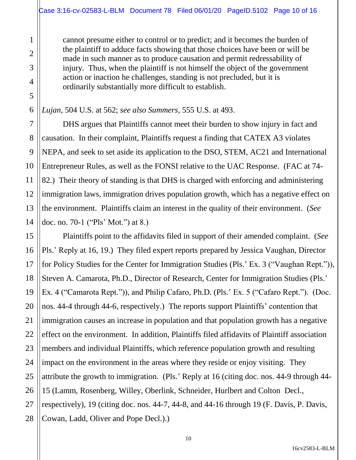cannot presume either to control or to predict; and it becomes the burden of the plaintiff to adduce facts showing that those choices have been or will be made in such manner as to produce causation and permit redressability of injury. Thus, when the plaintiff is not himself the object of the government action or inaction he challenges, standing is not precluded, but it is ordinarily substantially more difficult to establish.

*Lujan*, 504 U.S. at 562; *see also Summers*, 555 U.S. at 493.

DHS argues that Plaintiffs cannot meet their burden to show injury in fact and causation. In their complaint, Plaintiffs request a finding that CATEX A3 violates NEPA, and seek to set aside its application to the DSO, STEM, AC21 and International Entrepreneur Rules, as well as the FONSI relative to the UAC Response. (FAC at 74- 82.) Their theory of standing is that DHS is charged with enforcing and administering immigration laws, immigration drives population growth, which has a negative effect on the environment. Plaintiffs claim an interest in the quality of their environment. (*See*  doc. no. 70-1 ("Pls' Mot.") at 8.)

Plaintiffs point to the affidavits filed in support of their amended complaint. (*See*  Pls.' Reply at 16, 19.) They filed expert reports prepared by Jessica Vaughan, Director for Policy Studies for the Center for Immigration Studies (Pls.' Ex. 3 ("Vaughan Rept.")), Steven A. Camarota, Ph.D., Director of Research, Center for Immigration Studies (Pls.' Ex. 4 ("Camarota Rept.")), and Philip Cafaro, Ph.D. (Pls.' Ex. 5 ("Cafaro Rept."). (Doc. nos. 44-4 through 44-6, respectively.) The reports support Plaintiffs' contention that immigration causes an increase in population and that population growth has a negative effect on the environment. In addition, Plaintiffs filed affidavits of Plaintiff association members and individual Plaintiffs, which reference population growth and resulting impact on the environment in the areas where they reside or enjoy visiting. They attribute the growth to immigration. (Pls.' Reply at 16 (citing doc. nos. 44-9 through 44- 15 (Lamm, Rosenberg, Willey, Oberlink, Schneider, Hurlbert and Colton Decl., respectively), 19 (citing doc. nos. 44-7, 44-8, and 44-16 through 19 (F. Davis, P. Davis, Cowan, Ladd, Oliver and Pope Decl.).)

16cv2583-L-BLM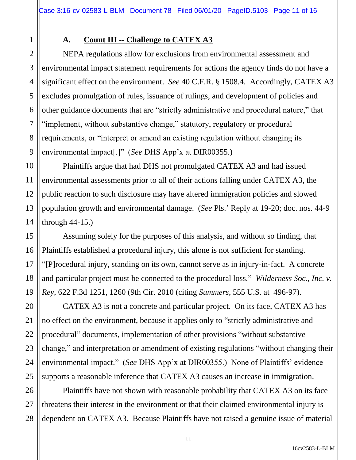1

2

3

4

5

6

7

8

9

11

12

13

15

16

17

18

19

20

21

22

23

24

25

# **A. Count III -- Challenge to CATEX A3**

NEPA regulations allow for exclusions from environmental assessment and environmental impact statement requirements for actions the agency finds do not have a significant effect on the environment. *See* 40 C.F.R. § 1508.4. Accordingly, CATEX A3 excludes promulgation of rules, issuance of rulings, and development of policies and other guidance documents that are "strictly administrative and procedural nature," that "implement, without substantive change," statutory, regulatory or procedural requirements, or "interpret or amend an existing regulation without changing its environmental impact[.]" (*See* DHS App'x at DIR00355.)

10 14 Plaintiffs argue that had DHS not promulgated CATEX A3 and had issued environmental assessments prior to all of their actions falling under CATEX A3, the public reaction to such disclosure may have altered immigration policies and slowed population growth and environmental damage. (*See* Pls.' Reply at 19-20; doc. nos. 44-9 through 44-15.)

Assuming solely for the purposes of this analysis, and without so finding, that Plaintiffs established a procedural injury, this alone is not sufficient for standing. "[P]rocedural injury, standing on its own, cannot serve as in injury-in-fact. A concrete and particular project must be connected to the procedural loss." *Wilderness Soc., Inc. v. Rey*, 622 F.3d 1251, 1260 (9th Cir. 2010 (citing *Summers*, 555 U.S. at 496-97).

CATEX A3 is not a concrete and particular project. On its face, CATEX A3 has no effect on the environment, because it applies only to "strictly administrative and procedural" documents, implementation of other provisions "without substantive change," and interpretation or amendment of existing regulations "without changing their environmental impact." (*See* DHS App'x at DIR00355.) None of Plaintiffs' evidence supports a reasonable inference that CATEX A3 causes an increase in immigration.

26 27 28 Plaintiffs have not shown with reasonable probability that CATEX A3 on its face threatens their interest in the environment or that their claimed environmental injury is dependent on CATEX A3. Because Plaintiffs have not raised a genuine issue of material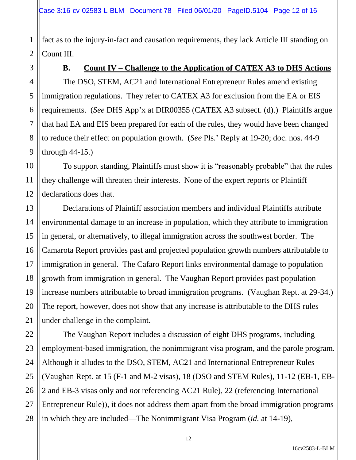1 2 fact as to the injury-in-fact and causation requirements, they lack Article III standing on Count III.

## **B. Count IV – Challenge to the Application of CATEX A3 to DHS Actions**

The DSO, STEM, AC21 and International Entrepreneur Rules amend existing immigration regulations. They refer to CATEX A3 for exclusion from the EA or EIS requirements. (*See* DHS App'x at DIR00355 (CATEX A3 subsect. (d).) Plaintiffs argue that had EA and EIS been prepared for each of the rules, they would have been changed to reduce their effect on population growth. (*See* Pls.' Reply at 19-20; doc. nos. 44-9 through 44-15.)

To support standing, Plaintiffs must show it is "reasonably probable" that the rules they challenge will threaten their interests. None of the expert reports or Plaintiff declarations does that.

Declarations of Plaintiff association members and individual Plaintiffs attribute environmental damage to an increase in population, which they attribute to immigration in general, or alternatively, to illegal immigration across the southwest border. The Camarota Report provides past and projected population growth numbers attributable to immigration in general. The Cafaro Report links environmental damage to population growth from immigration in general. The Vaughan Report provides past population increase numbers attributable to broad immigration programs. (Vaughan Rept. at 29-34.) The report, however, does not show that any increase is attributable to the DHS rules under challenge in the complaint.

The Vaughan Report includes a discussion of eight DHS programs, including employment-based immigration, the nonimmigrant visa program, and the parole program. Although it alludes to the DSO, STEM, AC21 and International Entrepreneur Rules (Vaughan Rept. at 15 (F-1 and M-2 visas), 18 (DSO and STEM Rules), 11-12 (EB-1, EB-2 and EB-3 visas only and *not* referencing AC21 Rule), 22 (referencing International Entrepreneur Rule)), it does not address them apart from the broad immigration programs in which they are included—The Nonimmigrant Visa Program (*id.* at 14-19),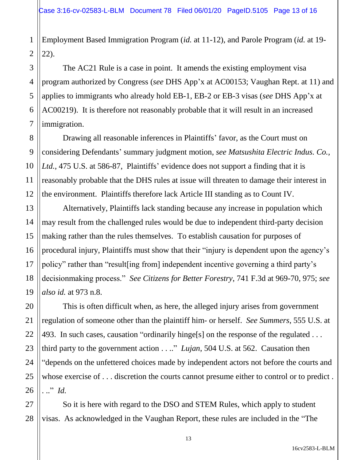1 Employment Based Immigration Program (*id.* at 11-12), and Parole Program (*id.* at 19- 22).

The AC21 Rule is a case in point. It amends the existing employment visa program authorized by Congress (*see* DHS App'x at AC00153; Vaughan Rept. at 11) and applies to immigrants who already hold EB-1, EB-2 or EB-3 visas (*see* DHS App'x at AC00219). It is therefore not reasonably probable that it will result in an increased immigration.

Drawing all reasonable inferences in Plaintiffs' favor, as the Court must on considering Defendants' summary judgment motion, *see Matsushita Electric Indus. Co., Ltd.*, 475 U.S. at 586-87, Plaintiffs' evidence does not support a finding that it is reasonably probable that the DHS rules at issue will threaten to damage their interest in the environment. Plaintiffs therefore lack Article III standing as to Count IV.

Alternatively, Plaintiffs lack standing because any increase in population which may result from the challenged rules would be due to independent third-party decision making rather than the rules themselves. To establish causation for purposes of procedural injury, Plaintiffs must show that their "injury is dependent upon the agency's policy" rather than "result[ing from] independent incentive governing a third party's decisionmaking process." *See Citizens for Better Forestry*, 741 F.3d at 969-70, 975; *see also id.* at 973 n.8.

This is often difficult when, as here, the alleged injury arises from government regulation of someone other than the plaintiff him- or herself. *See Summers*, 555 U.S. at 493. In such cases, causation "ordinarily hinge<sup>[s]</sup> on the response of the regulated ... third party to the government action . . .." *Lujan*, 504 U.S. at 562. Causation then "depends on the unfettered choices made by independent actors not before the courts and whose exercise of . . . discretion the courts cannot presume either to control or to predict . . .." *Id.*

So it is here with regard to the DSO and STEM Rules, which apply to student visas. As acknowledged in the Vaughan Report, these rules are included in the "The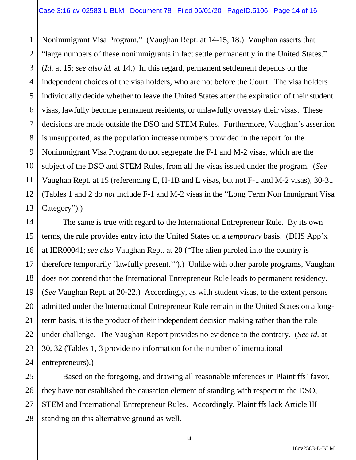1 2 3 4 5 6 7 8 9 10 11 12 13 Nonimmigrant Visa Program." (Vaughan Rept. at 14-15, 18.) Vaughan asserts that "large numbers of these nonimmigrants in fact settle permanently in the United States." (*Id.* at 15; *see also id.* at 14.) In this regard, permanent settlement depends on the independent choices of the visa holders, who are not before the Court. The visa holders individually decide whether to leave the United States after the expiration of their student visas, lawfully become permanent residents, or unlawfully overstay their visas. These decisions are made outside the DSO and STEM Rules. Furthermore, Vaughan's assertion is unsupported, as the population increase numbers provided in the report for the Nonimmigrant Visa Program do not segregate the F-1 and M-2 visas, which are the subject of the DSO and STEM Rules, from all the visas issued under the program. (*See*  Vaughan Rept. at 15 (referencing E, H-1B and L visas, but not F-1 and M-2 visas), 30-31 (Tables 1 and 2 do *not* include F-1 and M-2 visas in the "Long Term Non Immigrant Visa Category").)

The same is true with regard to the International Entrepreneur Rule. By its own terms, the rule provides entry into the United States on a *temporary* basis. (DHS App'x at IER00041; *see also* Vaughan Rept. at 20 ("The alien paroled into the country is therefore temporarily 'lawfully present.'").) Unlike with other parole programs, Vaughan does not contend that the International Entrepreneur Rule leads to permanent residency. (*See* Vaughan Rept. at 20-22.) Accordingly, as with student visas, to the extent persons admitted under the International Entrepreneur Rule remain in the United States on a longterm basis, it is the product of their independent decision making rather than the rule under challenge. The Vaughan Report provides no evidence to the contrary. (*See id.* at 30, 32 (Tables 1, 3 provide no information for the number of international entrepreneurs).)

14

15

16

17

18

19

20

21

22

23

24

25 26 27 28 Based on the foregoing, and drawing all reasonable inferences in Plaintiffs' favor, they have not established the causation element of standing with respect to the DSO, STEM and International Entrepreneur Rules. Accordingly, Plaintiffs lack Article III standing on this alternative ground as well.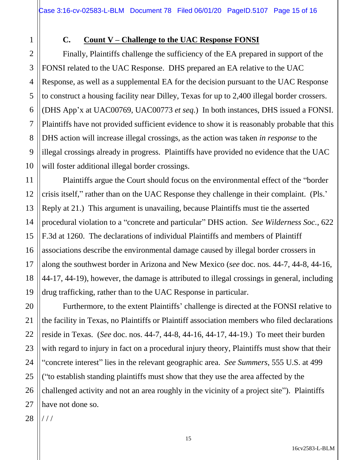1

2

3

4

5

6

7

8

9

10

11

12

13

14

15

16

17

18

19

20

21

22

23

24

25

26

27

#### **C. Count V – Challenge to the UAC Response FONSI**

Finally, Plaintiffs challenge the sufficiency of the EA prepared in support of the FONSI related to the UAC Response. DHS prepared an EA relative to the UAC Response, as well as a supplemental EA for the decision pursuant to the UAC Response to construct a housing facility near Dilley, Texas for up to 2,400 illegal border crossers. (DHS App'x at UAC00769, UAC00773 *et seq.*) In both instances, DHS issued a FONSI. Plaintiffs have not provided sufficient evidence to show it is reasonably probable that this DHS action will increase illegal crossings, as the action was taken *in response* to the illegal crossings already in progress. Plaintiffs have provided no evidence that the UAC will foster additional illegal border crossings.

Plaintiffs argue the Court should focus on the environmental effect of the "border crisis itself," rather than on the UAC Response they challenge in their complaint. (Pls.' Reply at 21.) This argument is unavailing, because Plaintiffs must tie the asserted procedural violation to a "concrete and particular" DHS action. *See Wilderness Soc.*, 622 F.3d at 1260. The declarations of individual Plaintiffs and members of Plaintiff associations describe the environmental damage caused by illegal border crossers in along the southwest border in Arizona and New Mexico (*see* doc. nos. 44-7, 44-8, 44-16, 44-17, 44-19), however, the damage is attributed to illegal crossings in general, including drug trafficking, rather than to the UAC Response in particular.

Furthermore, to the extent Plaintiffs' challenge is directed at the FONSI relative to the facility in Texas, no Plaintiffs or Plaintiff association members who filed declarations reside in Texas. (*See* doc. nos. 44-7, 44-8, 44-16, 44-17, 44-19.) To meet their burden with regard to injury in fact on a procedural injury theory, Plaintiffs must show that their "concrete interest" lies in the relevant geographic area. *See Summers*, 555 U.S. at 499 ("to establish standing plaintiffs must show that they use the area affected by the challenged activity and not an area roughly in the vicinity of a project site"). Plaintiffs have not done so.

28 / / /